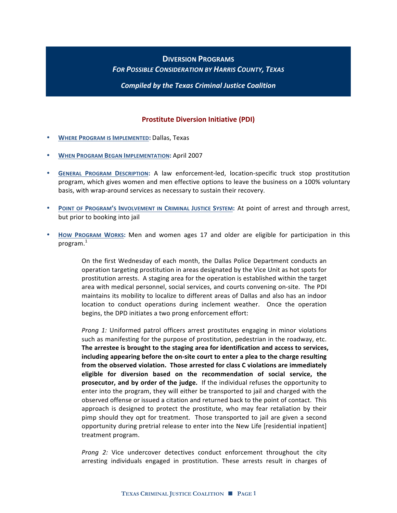# **DIVERSION!PROGRAMS FOR POSSIBLE CONSIDERATION BY HARRIS COUNTY, TEXAS**

**Compiled by the Texas Criminal Justice Coalition** 

## **Prostitute Diversion Initiative (PDI)**

- **WHERE PROGRAM IS IMPLEMENTED: Dallas, Texas**
- **WHEN PROGRAM BEGAN IMPLEMENTATION: April 2007**
- **GENERAL PROGRAM DESCRIPTION: A law enforcement-led, location-specific truck stop prostitution** program, which gives women and men effective options to leave the business on a 100% voluntary basis, with wrap-around services as necessary to sustain their recovery.
- **POINT OF PROGRAM'S INVOLVEMENT IN CRIMINAL JUSTICE SYSTEM: At point of arrest and through arrest,** but prior to booking into jail
- HOW PROGRAM WORKS: Men and women ages 17 and older are eligible for participation in this program. $^{\rm 1}$

On the first Wednesday of each month, the Dallas Police Department conducts an operation targeting prostitution in areas designated by the Vice Unit as hot spots for prostitution arrests. A staging area for the operation is established within the target area with medical personnel, social services, and courts convening on-site. The PDI maintains its mobility to localize to different areas of Dallas and also has an indoor location to conduct operations during inclement weather. Once the operation begins, the DPD initiates a two prong enforcement effort:

*Prong 1:* Uniformed patrol officers arrest prostitutes engaging in minor violations such as manifesting for the purpose of prostitution, pedestrian in the roadway, etc. The arrestee is brought to the staging area for identification and access to services, including appearing before the on-site court to enter a plea to the charge resulting from the observed violation. Those arrested for class C violations are immediately **eligible! for! diversion! based! on! the! recommendation! of! social! service,! the! prosecutor, and by order of the judge.** If the individual refuses the opportunity to enter into the program, they will either be transported to jail and charged with the observed offense or issued a citation and returned back to the point of contact. This approach is designed to protect the prostitute, who may fear retaliation by their pimp should they opt for treatment. Those transported to jail are given a second opportunity during pretrial release to enter into the New Life [residential inpatient] treatment program.

Prong 2: Vice undercover detectives conduct enforcement throughout the city arresting individuals engaged in prostitution. These arrests result in charges of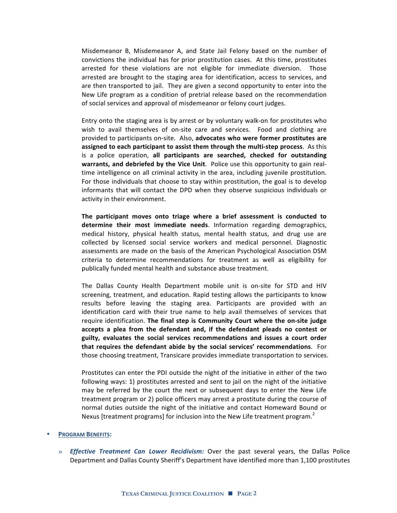Misdemeanor B, Misdemeanor A, and State Jail Felony based on the number of convictions the individual has for prior prostitution cases. At this time, prostitutes arrested for these violations are not eligible for immediate diversion. Those arrested are brought to the staging area for identification, access to services, and are then transported to jail. They are given a second opportunity to enter into the New Life program as a condition of pretrial release based on the recommendation of social services and approval of misdemeanor or felony court judges.

Entry onto the staging area is by arrest or by voluntary walk-on for prostitutes who wish to avail themselves of on-site care and services. Food and clothing are provided to participants on-site. Also, advocates who were former prostitutes are **assigned to each participant to assist them through the multi-step process**. As this is a police operation, all participants are searched, checked for outstanding warrants, and debriefed by the Vice Unit. Police use this opportunity to gain realtime intelligence on all criminal activity in the area, including juvenile prostitution. For those individuals that choose to stay within prostitution, the goal is to develop informants that will contact the DPD when they observe suspicious individuals or activity in their environment.

The participant moves onto triage where a brief assessment is conducted to **determine their most immediate needs**. Information regarding demographics, medical history, physical health status, mental health status, and drug use are collected by licensed social service workers and medical personnel. Diagnostic assessments are made on the basis of the American Psychological Association DSM criteria to determine recommendations for treatment as well as eligibility for publically funded mental health and substance abuse treatment.

The Dallas County Health Department mobile unit is on-site for STD and HIV screening, treatment, and education. Rapid testing allows the participants to know results before leaving the staging area. Participants are provided with an identification card with their true name to help avail themselves of services that require identification. The final step is Community Court where the on-site judge accepts a plea from the defendant and, if the defendant pleads no contest or guilty, evaluates the social services recommendations and issues a court order **that requires the defendant abide by the social services' recommendations**. For those choosing treatment, Transicare provides immediate transportation to services.

Prostitutes can enter the PDI outside the night of the initiative in either of the two following ways: 1) prostitutes arrested and sent to jail on the night of the initiative may be referred by the court the next or subsequent days to enter the New Life treatment program or 2) police officers may arrest a prostitute during the course of normal duties outside the night of the initiative and contact Homeward Bound or Nexus [treatment programs] for inclusion into the New Life treatment program.<sup>2</sup>

#### **PROGRAM BENEFITS:**

» *Effective Treatment Can Lower Recidivism:* Over the past several years, the Dallas Police Department and Dallas County Sheriff's Department have identified more than 1,100 prostitutes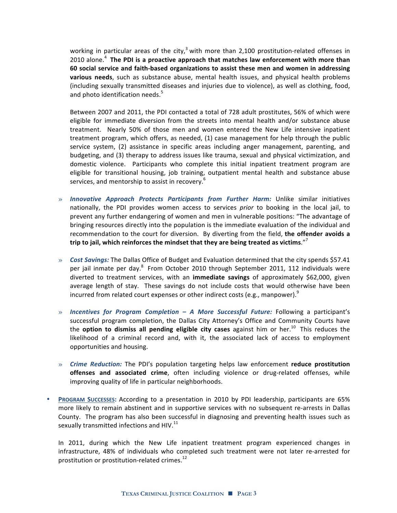working in particular areas of the city,<sup>3</sup> with more than 2,100 prostitution-related offenses in 2010 alone.<sup>4</sup> The PDI is a proactive approach that matches law enforcement with more than 60 social service and faith-based organizations to assist these men and women in addressing **various needs**, such as substance abuse, mental health issues, and physical health problems (including sexually transmitted diseases and injuries due to violence), as well as clothing, food, and photo identification needs.<sup>5</sup>

Between 2007 and 2011, the PDI contacted a total of 728 adult prostitutes, 56% of which were eligible for immediate diversion from the streets into mental health and/or substance abuse treatment. Nearly 50% of those men and women entered the New Life intensive inpatient treatment program, which offers, as needed,  $(1)$  case management for help through the public service system, (2) assistance in specific areas including anger management, parenting, and budgeting, and (3) therapy to address issues like trauma, sexual and physical victimization, and domestic violence. Participants who complete this initial inpatient treatment program are eligible for transitional housing, job training, outpatient mental health and substance abuse services, and mentorship to assist in recovery.<sup>6</sup>

- » *Innovative Approach Protects Participants from Further Harm:* Unlike similar initiatives nationally, the PDI provides women access to services *prior* to booking in the local jail, to prevent any further endangering of women and men in vulnerable positions: "The advantage of bringing resources directly into the population is the immediate evaluation of the individual and recommendation to the court for diversion. By diverting from the field, the offender avoids a trip to jail, which reinforces the mindset that they are being treated as victims."<sup>7</sup>
- » *Cost Savings:* The Dallas Office of Budget and Evaluation determined that the city spends \$57.41 per jail inmate per day.<sup>8</sup> From October 2010 through September 2011, 112 individuals were diverted to treatment services, with an *immediate savings* of approximately \$62,000, given average length of stay. These savings do not include costs that would otherwise have been incurred from related court expenses or other indirect costs (e.g., manpower).<sup>9</sup>
- » *Incentives for Program Completion A More Successful Future:* Following a participant's successful program completion, the Dallas City Attorney's Office and Community Courts have the **option to dismiss all pending eligible city cases** against him or her.<sup>10</sup> This reduces the likelihood of a criminal record and, with it, the associated lack of access to employment opportunities and housing.
- » *Crime Reduction:* **The PDI's population targeting helps law enforcement <b>reduce prostitution** offenses and associated crime, often including violence or drug-related offenses, while improving quality of life in particular neighborhoods.
- **PROGRAM SUCCESSES:** According to a presentation in 2010 by PDI leadership, participants are 65% more likely to remain abstinent and in supportive services with no subsequent re-arrests in Dallas County. The program has also been successful in diagnosing and preventing health issues such as sexually transmitted infections and  $HIV.<sup>11</sup>$

In 2011, during which the New Life inpatient treatment program experienced changes in infrastructure, 48% of individuals who completed such treatment were not later re-arrested for prostitution or prostitution-related crimes.<sup>12</sup>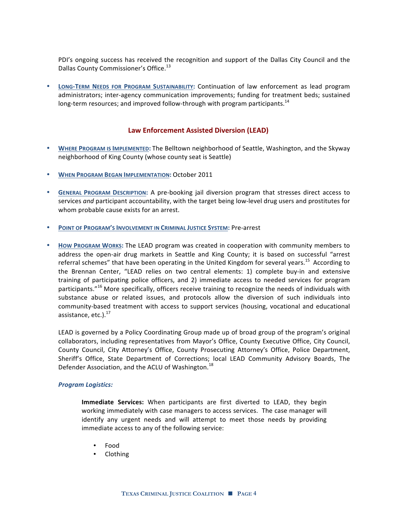PDI's ongoing success has received the recognition and support of the Dallas City Council and the Dallas County Commissioner's Office.<sup>13</sup>

• LONG-TERM NEEDS FOR PROGRAM SUSTAINABILITY: Continuation of law enforcement as lead program administrators; inter-agency communication improvements; funding for treatment beds; sustained long-term resources; and improved follow-through with program participants.<sup>14</sup>

### **Law Enforcement Assisted Diversion (LEAD)**

- WHERE PROGRAM IS **IMPLEMENTED:** The Belltown neighborhood of Seattle, Washington, and the Skyway neighborhood of King County (whose county seat is Seattle)
- **WHEN PROGRAM BEGAN IMPLEMENTATION: October 2011**
- GENERAL PROGRAM DESCRIPTION: A pre-booking jail diversion program that stresses direct access to services *and* participant accountability, with the target being low-level drug users and prostitutes for whom probable cause exists for an arrest.
- **POINT OF PROGRAM'S INVOLVEMENT IN CRIMINAL JUSTICE SYSTEM: Pre-arrest**
- HOW PROGRAM WORKS: The LEAD program was created in cooperation with community members to address the open-air drug markets in Seattle and King County; it is based on successful "arrest" referral schemes" that have been operating in the United Kingdom for several years.<sup>15</sup> According to the Brennan Center, "LEAD relies on two central elements: 1) complete buy-in and extensive training of participating police officers, and 2) immediate access to needed services for program participants."<sup>16</sup> More specifically, officers receive training to recognize the needs of individuals with substance abuse or related issues, and protocols allow the diversion of such individuals into community-based treatment with access to support services (housing, vocational and educational assistance, etc.).<sup>17</sup>

LEAD is governed by a Policy Coordinating Group made up of broad group of the program's original collaborators, including representatives from Mayor's Office, County Executive Office, City Council, County Council, City Attorney's Office, County Prosecuting Attorney's Office, Police Department, Sheriff's Office, State Department of Corrections; local LEAD Community Advisory Boards, The Defender Association, and the ACLU of Washington.<sup>18</sup>

### *Program\$Logistics:*

**Immediate Services:** When participants are first diverted to LEAD, they begin working immediately with case managers to access services. The case manager will identify any urgent needs and will attempt to meet those needs by providing immediate access to any of the following service:

- Food
- Clothing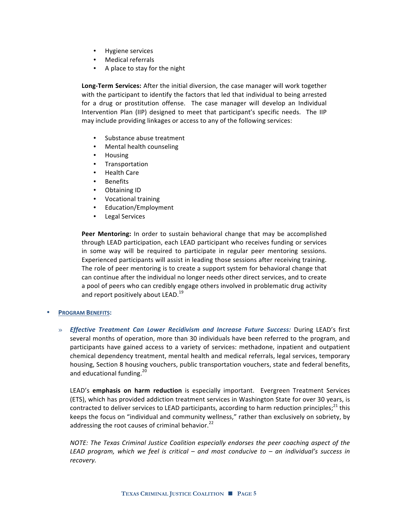- Hygiene services
- Medical referrals
- A place to stay for the night

Long-Term Services: After the initial diversion, the case manager will work together with the participant to identify the factors that led that individual to being arrested for a drug or prostitution offense. The case manager will develop an Individual Intervention Plan (IIP) designed to meet that participant's specific needs. The IIP may include providing linkages or access to any of the following services:

- Substance abuse treatment
- Mental health counseling
- Housing<br>• Transnor
- **Transportation**
- Health Care
- Benefits
- Obtaining ID
- Vocational training
- Education/Employment
- Legal Services

**Peer Mentoring:** In order to sustain behavioral change that may be accomplished through LEAD participation, each LEAD participant who receives funding or services in some way will be required to participate in regular peer mentoring sessions. Experienced participants will assist in leading those sessions after receiving training. The role of peer mentoring is to create a support system for behavioral change that can continue after the individual no longer needs other direct services, and to create a pool of peers who can credibly engage others involved in problematic drug activity and report positively about LEAD.<sup>19</sup>

### **PROGRAM BENEFITS:**

» *Effective Treatment Can Lower Recidivism and Increase Future Success: During LEAD's first* several months of operation, more than 30 individuals have been referred to the program, and participants have gained access to a variety of services: methadone, inpatient and outpatient chemical dependency treatment, mental health and medical referrals, legal services, temporary housing, Section 8 housing vouchers, public transportation vouchers, state and federal benefits, and educational funding.<sup>20</sup>

LEAD's **emphasis on harm reduction** is especially important. Evergreen Treatment Services (ETS), which has provided addiction treatment services in Washington State for over 30 years, is contracted to deliver services to LEAD participants, according to harm reduction principles;<sup>21</sup> this keeps the focus on "individual and community wellness," rather than exclusively on sobriety, by addressing the root causes of criminal behavior. $^{22}$ 

*NOTE:* The Texas Criminal Justice Coalition especially endorses the peer coaching aspect of the *LEAD& program,& which& we& feel& is& critical& – and& most& conducive& to& – an individual's& success& in& recovery.&*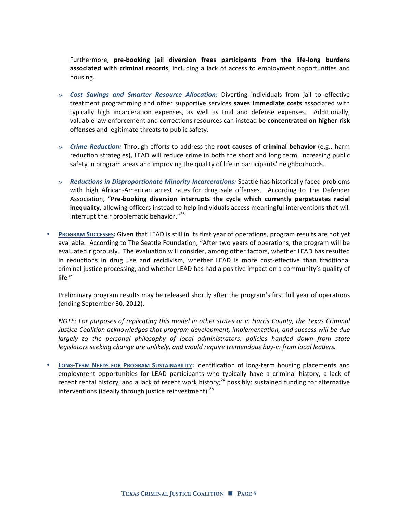Furthermore, **pre-booking jail diversion frees participants from the life-long burdens** associated with criminal records, including a lack of access to employment opportunities and housing.

- » *Cost Savings and Smarter Resource Allocation:* **Diverting individuals from jail to effective** treatment programming and other supportive services saves immediate costs associated with typically high incarceration expenses, as well as trial and defense expenses. Additionally, valuable law enforcement and corrections resources can instead be **concentrated on higher-risk offenses** and legitimate threats to public safety.
- » *Crime Reduction:* **Through efforts to address the <b>root causes of criminal behavior** (e.g., harm reduction strategies), LEAD will reduce crime in both the short and long term, increasing public safety in program areas and improving the quality of life in participants' neighborhoods.
- » **Reductions in Disproportionate Minority Incarcerations: Seattle has historically faced problems** with high African-American arrest rates for drug sale offenses. According to The Defender Association, "Pre-booking diversion interrupts the cycle which currently perpetuates racial **inequality**, allowing officers instead to help individuals access meaningful interventions that will interrupt their problematic behavior."<sup>23</sup>
- **PROGRAM SUCCESSES: Given that LEAD is still in its first year of operations, program results are not yet** available. According to The Seattle Foundation, "After two years of operations, the program will be evaluated rigorously. The evaluation will consider, among other factors, whether LEAD has resulted in reductions in drug use and recidivism, whether LEAD is more cost-effective than traditional criminal justice processing, and whether LEAD has had a positive impact on a community's quality of life."

Preliminary program results may be released shortly after the program's first full year of operations (ending September 30, 2012).

*NOTE: For purposes of replicating this model in other states or in Harris County, the Texas Criminal Justice&Coalition acknowledges that&program development,&implementation,&and&success&will&be due& largely& to& the& personal& philosophy& of& local& administrators;& policies& handed& down& from& state&* legislators seeking change are unlikely, and would require tremendous buy-in from local leaders.

**LONG-TERM NEEDS FOR PROGRAM SUSTAINABILITY: Identification of long-term housing placements and** employment opportunities for LEAD participants who typically have a criminal history, a lack of recent rental history, and a lack of recent work history;<sup>24</sup> possibly: sustained funding for alternative interventions (ideally through justice reinvestment).<sup>25</sup>